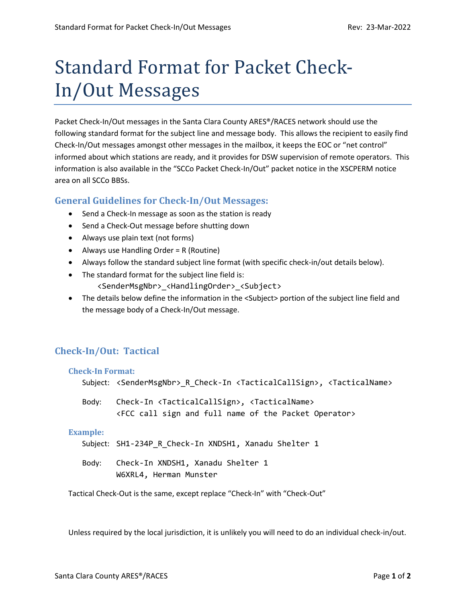# Standard Format for Packet Check-In/Out Messages

Packet Check-In/Out messages in the Santa Clara County ARES®/RACES network should use the following standard format for the subject line and message body. This allows the recipient to easily find Check-In/Out messages amongst other messages in the mailbox, it keeps the EOC or "net control" informed about which stations are ready, and it provides for DSW supervision of remote operators. This information is also available in the "SCCo Packet Check-In/Out" packet notice in the XSCPERM notice area on all SCCo BBSs.

# **General Guidelines for Check-In/Out Messages:**

- Send a Check-In message as soon as the station is ready
- Send a Check-Out message before shutting down
- Always use plain text (not forms)
- Always use Handling Order = R (Routine)
- Always follow the standard subject line format (with specific check-in/out details below).
- The standard format for the subject line field is: <SenderMsgNbr>\_<HandlingOrder>\_<Subject>
- The details below define the information in the <Subject> portion of the subject line field and the message body of a Check-In/Out message.

# **Check-In/Out: Tactical**

#### **Check-In Format:**

Subject: <SenderMsgNbr>\_R\_Check-In <TacticalCallSign>, <TacticalName>

Body: Check-In <TacticalCallSign>, <TacticalName> <FCC call sign and full name of the Packet Operator>

#### **Example:**

Subject: SH1-234P\_R\_Check-In XNDSH1, Xanadu Shelter 1

Body: Check-In XNDSH1, Xanadu Shelter 1 W6XRL4, Herman Munster

Tactical Check-Out is the same, except replace "Check-In" with "Check-Out"

Unless required by the local jurisdiction, it is unlikely you will need to do an individual check-in/out.